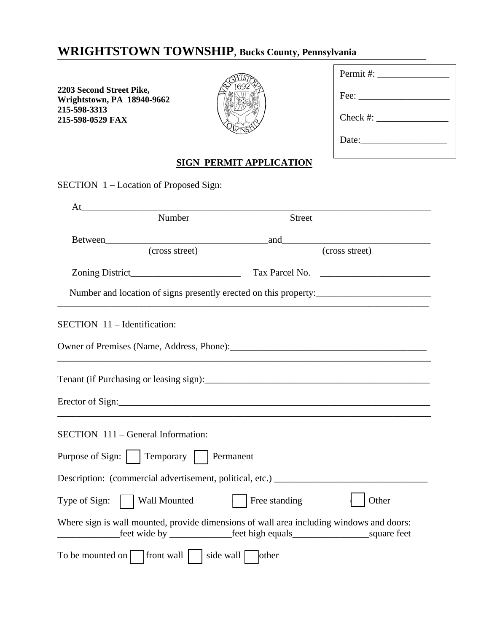## WRIGHTSTOWN TOWNSHIP, Bucks County, Pennsylvania

**2203 Second Street Pike, Wrightstown, PA 18940-9662 215-598-3313 215-598-0529 FAX** 



| Permit #: $\qquad \qquad$                                                     |
|-------------------------------------------------------------------------------|
| $\text{Fee:}\_\_\_\_\_\_\_\_\_\_\_\_\_\_\_\_\_\_\_\_\_\_\_\_\_\_\_\_\_\_\_\_$ |
| Check #:                                                                      |
| Date:                                                                         |

## **SIGN PERMIT APPLICATION**

SECTION 1 – Location of Proposed Sign:

| At                                                                                       |               |                                                                                                                      |
|------------------------------------------------------------------------------------------|---------------|----------------------------------------------------------------------------------------------------------------------|
| Number                                                                                   | <b>Street</b> |                                                                                                                      |
|                                                                                          |               | <u> 1989 - Johann Barn, mars ar breithinn ar breithinn ar breithinn ar breithinn ar breithinn ar breithinn ar br</u> |
| (cross street)                                                                           |               | (cross street)                                                                                                       |
|                                                                                          |               |                                                                                                                      |
| Number and location of signs presently erected on this property:                         |               |                                                                                                                      |
| SECTION 11 - Identification:                                                             |               |                                                                                                                      |
|                                                                                          |               |                                                                                                                      |
|                                                                                          |               |                                                                                                                      |
| Erector of Sign:                                                                         |               |                                                                                                                      |
| SECTION 111 – General Information:                                                       |               |                                                                                                                      |
| Purpose of Sign:     Temporary     Permanent                                             |               |                                                                                                                      |
| Description: (commercial advertisement, political, etc.) ________________________        |               |                                                                                                                      |
| Wall Mounted<br>Type of Sign:                                                            | Free standing | Other                                                                                                                |
| Where sign is wall mounted, provide dimensions of wall area including windows and doors: |               |                                                                                                                      |
|                                                                                          | other         |                                                                                                                      |